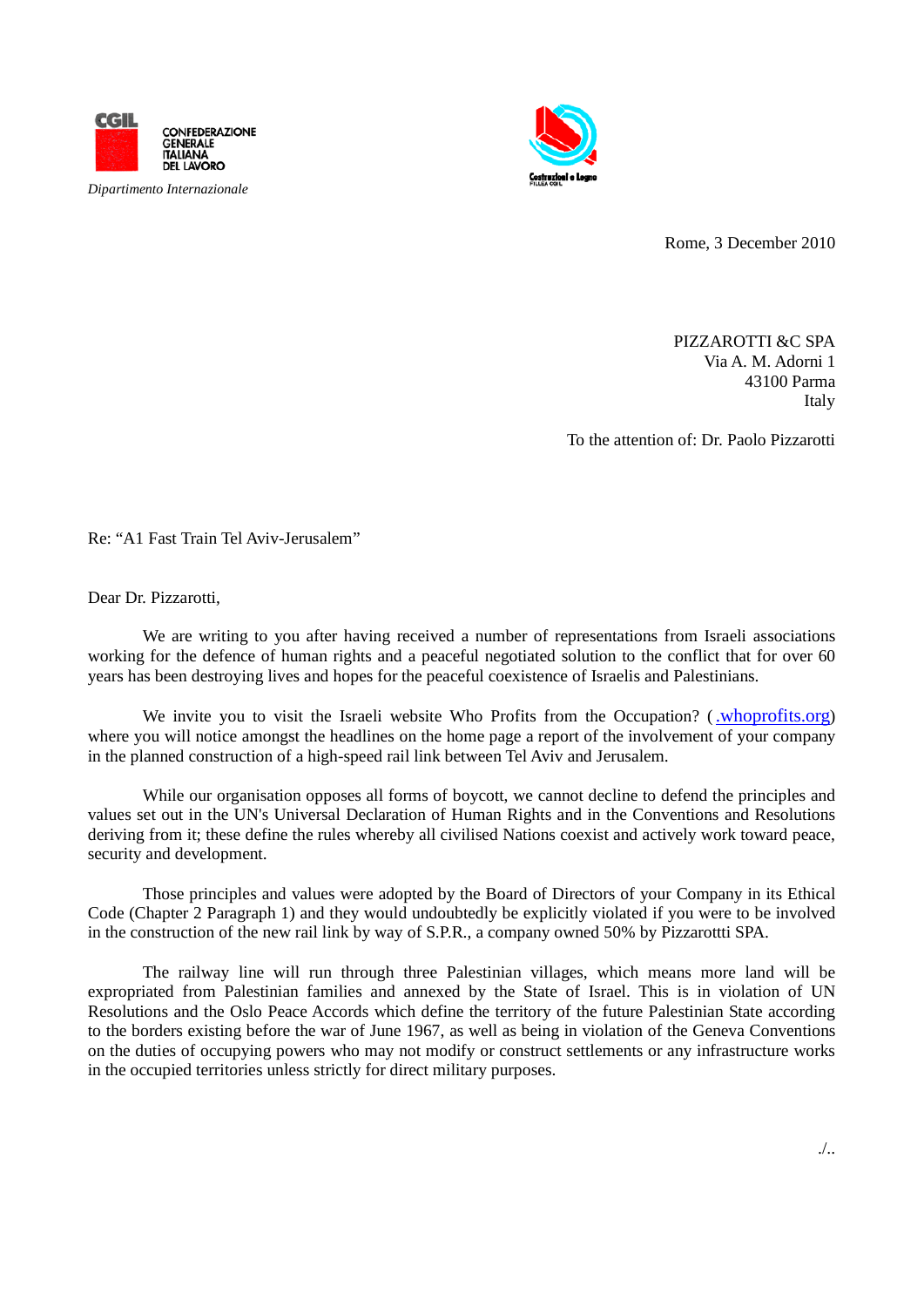

*Dipartimento Internazionale*



Rome, 3 December 2010

PIZZAROTTI &C SPA Via A. M. Adorni 1 43100 Parma Italy

To the attention of: Dr. Paolo Pizzarotti

Re: "A1 Fast Train Tel Aviv-Jerusalem"

Dear Dr. Pizzarotti,

We are writing to you after having received a number of representations from Israeli associations working for the defence of human rights and a peaceful negotiated solution to the conflict that for over 60 years has been destroying lives and hopes for the peaceful coexistence of Israelis and Palestinians.

We invite you to visit the Israeli website Who Profits from the Occupation? [\(.whoprofits.org\)](http://www.whoprofits.org/) where you will notice amongst the headlines on the home page a report of the involvement of your company in the planned construction of a high-speed rail link between Tel Aviv and Jerusalem.

While our organisation opposes all forms of boycott, we cannot decline to defend the principles and values set out in the UN's Universal Declaration of Human Rights and in the Conventions and Resolutions deriving from it; these define the rules whereby all civilised Nations coexist and actively work toward peace, security and development.

Those principles and values were adopted by the Board of Directors of your Company in its Ethical Code (Chapter 2 Paragraph 1) and they would undoubtedly be explicitly violated if you were to be involved in the construction of the new rail link by way of S.P.R., a company owned 50% by Pizzarottti SPA.

The railway line will run through three Palestinian villages, which means more land will be expropriated from Palestinian families and annexed by the State of Israel. This is in violation of UN Resolutions and the Oslo Peace Accords which define the territory of the future Palestinian State according to the borders existing before the war of June 1967, as well as being in violation of the Geneva Conventions on the duties of occupying powers who may not modify or construct settlements or any infrastructure works in the occupied territories unless strictly for direct military purposes.